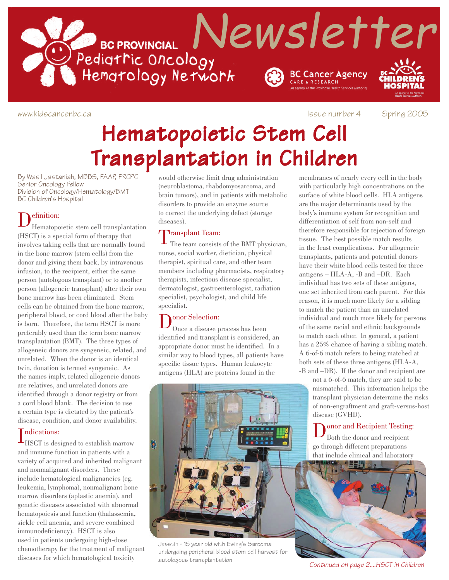

www.kidscancer.bc.ca **Issue number 4** Spring 2005

# Hematopoietic Stem Cell Transplantation in Children

By Wasil Jastaniah, MBBS, FAAP, FRCPC Senior Oncology Fellow Division of Oncology/Hematology/BMT BC Children's Hospital

Definition: Hematopoietic stem cell transplantation (HSCT) is a special form of therapy that involves taking cells that are normally found in the bone marrow (stem cells) from the donor and giving them back, by intravenous infusion, to the recipient, either the same person (autologous transplant) or to another person (allogeneic transplant) after their own bone marrow has been eliminated. Stem cells can be obtained from the bone marrow, peripheral blood, or cord blood after the baby is born. Therefore, the term HSCT is more preferably used than the term bone marrow transplantation (BMT). The three types of allogeneic donors are syngeneic, related, and unrelated. When the donor is an identical twin, donation is termed syngeneic. As the names imply, related allogeneic donors are relatives, and unrelated donors are identified through a donor registry or from a cord blood blank. The decision to use a certain type is dictated by the patient's disease, condition, and donor availability.

### ndications:

Indications:<br>HSCT is designed to establish marrow and immune function in patients with a variety of acquired and inherited malignant and nonmalignant disorders. These include hematological malignancies (eg. leukemia, lymphoma), nonmalignant bone marrow disorders (aplastic anemia), and genetic diseases associated with abnormal hematopoiesis and function (thalassemia, sickle cell anemia, and severe combined immunodeficiency). HSCT is also used in patients undergoing high-dose chemotherapy for the treatment of malignant diseases for which hematological toxicity

would otherwise limit drug administration (neuroblastoma, rhabdomyosarcoma, and brain tumors), and in patients with metabolic disorders to provide an enzyme source to correct the underlying defect (storage diseases).

Transplant Team:<br>The team consists of the BMT physician, nurse, social worker, dietician, physical therapist, spiritual care, and other team members including pharmacists, respiratory therapists, infectious disease specialist, dermatologist, gastroenterologist, radiation specialist, psychologist, and child life specialist.

Donor Selection: Once a disease process has been identified and transplant is considered, an appropriate donor must be identified. In a similar way to blood types, all patients have specific tissue types. Human leukocyte antigens (HLA) are proteins found in the



Jesstin - 15 year old with Ewing's Sarcoma undergoing peripheral blood stem cell harvest for autologous transplantation

membranes of nearly every cell in the body with particularly high concentrations on the surface of white blood cells. HLA antigens are the major determinants used by the body's immune system for recognition and differentiation of self from non-self and therefore responsible for rejection of foreign tissue. The best possible match results in the least complications. For allogeneic transplants, patients and potential donors have their white blood cells tested for three antigens – HLA-A, -B and –DR. Each individual has two sets of these antigens, one set inherited from each parent. For this reason, it is much more likely for a sibling to match the patient than an unrelated individual and much more likely for persons of the same racial and ethnic backgrounds to match each other. In general, a patient has a 25% chance of having a sibling match. A 6-of-6 match refers to being matched at both sets of these three antigens (HLA-A, -B and –DR). If the donor and recipient are

> not a 6-of-6 match, they are said to be mismatched. This information helps the transplant physician determine the risks of non-engraftment and graft-versus-host disease (GVHD).

Donor and Recipient Testing:<br>Both the donor and recipient go through different preparations that include clinical and laboratory



*Continued on page 2....HSCT in Children*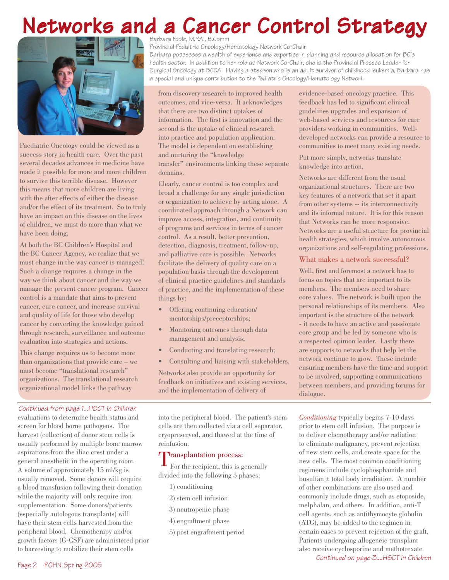# Networks and a Cancer Control Strategy



Paediatric Oncology could be viewed as a success story in health care. Over the past several decades advances in medicine have made it possible for more and more children to survive this terrible disease. However this means that more children are living with the after effects of either the disease and/or the effect of its treatment. So to truly have an impact on this disease on the lives of children, we must do more than what we have been doing.

At both the BC Children's Hospital and the BC Cancer Agency, we realize that we must change in the way cancer is managed! Such a change requires a change in the way we think about cancer and the way we manage the present cancer program. Cancer control is a mandate that aims to prevent cancer, cure cancer, and increase survival and quality of life for those who develop cancer by converting the knowledge gained through research, surveillance and outcome evaluation into strategies and actions.

This change requires us to become more than organizations that provide care – we must become "translational research" organizations. The translational research organizational model links the pathway

#### *Continued from page 1...HSCT in Children*

evaluations to determine health status and screen for blood borne pathogens. The harvest (collection) of donor stem cells is usually performed by multiple bone marrow aspirations from the iliac crest under a general anesthetic in the operating room. A volume of approximately 15 ml/kg is usually removed. Some donors will require a blood transfusion following their donation while the majority will only require iron supplementation. Some donors/patients (especially autologous transplants) will have their stem cells harvested from the peripheral blood. Chemotherapy and/or growth factors (G-CSF) are administered prior to harvesting to mobilize their stem cells

Provincial Pediatric Oncology/Hematology Network Co-Chair

Barbara possesses a wealth of experience and expertise in planning and resource allocation for BC's health sector. In addition to her role as Network Co-Chair, she is the Provincial Process Leader for Surgical Oncology at BCCA. Having a stepson who is an adult survivor of childhood leukemia, Barbara has a special and unique contribution to the Pediatric Oncology/Hematology Network.

from discovery research to improved health outcomes, and vice-versa. It acknowledges that there are two distinct uptakes of information. The first is innovation and the second is the uptake of clinical research into practice and population application. The model is dependent on establishing and nurturing the "knowledge transfer" environments linking these separate domains.

Clearly, cancer control is too complex and broad a challenge for any single jurisdiction or organization to achieve by acting alone. A coordinated approach through a Network can improve access, integration, and continuity of programs and services in terms of cancer control. As a result, better prevention, detection, diagnosis, treatment, follow-up, and palliative care is possible. Networks facilitate the delivery of quality care on a population basis through the development of clinical practice guidelines and standards of practice, and the implementation of these things by:

- Offering continuing education/ mentorships/preceptorships;
- Monitoring outcomes through data management and analysis;
- Conducting and translating research;
- Consulting and liaising with stakeholders.

Networks also provide an opportunity for feedback on initiatives and existing services, and the implementation of delivery of

into the peripheral blood. The patient's stem cells are then collected via a cell separator, cryopreserved, and thawed at the time of reinfusion.

**T**ransplantation process:<br>For the recipient, this is generally divided into the following 5 phases:

- 1) conditioning
- 2) stem cell infusion
- 3) neutropenic phase
- 4) engraftment phase
- 5) post engraftment period

evidence-based oncology practice. This feedback has led to significant clinical guidelines upgrades and expansion of web-based services and resources for care providers working in communities. Welldeveloped networks can provide a resource to communities to meet many existing needs.

Put more simply, networks translate knowledge into action.

Networks are different from the usual organizational structures. There are two key features of a network that set it apart from other systems -- its interconnectivity and its informal nature. It is for this reason that Networks can be more responsive. Networks are a useful structure for provincial health strategies, which involve autonomous organizations and self-regulating professions.

#### What makes a network successful?

Well, first and foremost a network has to focus on topics that are important to its members. The members need to share core values. The network is built upon the personal relationships of its members. Also important is the structure of the network - it needs to have an active and passionate core group and be led by someone who is a respected opinion leader. Lastly there are supports to networks that help let the network continue to grow. These include ensuring members have the time and support to be involved, supporting communications between members, and providing forums for dialogue.

*Conditioning* typically begins 7-10 days prior to stem cell infusion. The purpose is to deliver chemotherapy and/or radiation to eliminate malignancy, prevent rejection of new stem cells, and create space for the new cells. The most common conditioning regimens include cyclophosphamide and busulfan ± total body irradiation. A number of other combinations are also used and commonly include drugs, such as etoposide, melphalan, and others. In addition, anti-T cell agents, such as antithymocyte globulin (ATG), may be added to the regimen in certain cases to prevent rejection of the graft. Patients undergoing allogeneic transplant also receive cyclosporine and methotrexate

*Continued on page 3....HSCT in Children*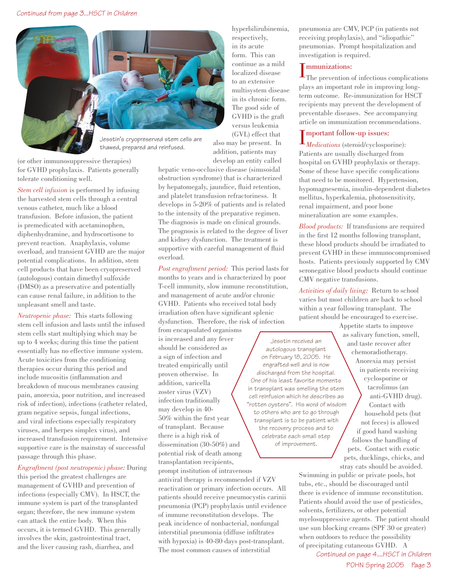

(or other immunosuppressive therapies) for GVHD prophylaxis. Patients generally tolerate conditioning well.

*Stem cell infusion* is performed by infusing the harvested stem cells through a central venous catheter, much like a blood transfusion. Before infusion, the patient is premedicated with acetaminophen, diphenhydramine, and hydrocortisone to prevent reaction. Anaphylaxis, volume overload, and transient GVHD are the major potential complications. In addition, stem cell products that have been cryopreserved (autologous) contain dimethyl sulfoxide (DMSO) as a preservative and potentially can cause renal failure, in addition to the unpleasant smell and taste.

*Neutropenic phase:* This starts following stem cell infusion and lasts until the infused stem cells start multiplying which may be up to 4 weeks; during this time the patient essentially has no effective immune system. Acute toxicities from the conditioning therapies occur during this period and include mucositis (inflammation and breakdown of mucous membranes causing pain, anorexia, poor nutrition, and increased risk of infection), infections (catheter related, gram negative sepsis, fungal infections, and viral infections especially respiratory viruses, and herpes simplex virus), and increased transfusion requirement. Intensive supportive care is the mainstay of successful passage through this phase.

*Engraftment (post neutropenic) phase:* During this period the greatest challenges are management of GVHD and prevention of infections (especially CMV). In HSCT, the immune system is part of the transplanted organ; therefore, the new immune system can attack the entire body. When this occurs, it is termed GVHD. This generally involves the skin, gastrointestinal tract, and the liver causing rash, diarrhea, and

hyperbilirubinemia, respectively, in its acute form. This can continue as a mild localized disease to an extensive multisystem disease in its chronic form. The good side of GVHD is the graft versus leukemia (GVL) effect that

also may be present. In addition, patients may develop an entity called

hepatic veno-occlusive disease (sinusoidal obstruction syndrome) that is characterized by hepatomegaly, jaundice, fluid retention, and platelet transfusion refractoriness. It develops in 5-20% of patients and is related to the intensity of the preparative regimen. The diagnosis is made on clinical grounds. The prognosis is related to the degree of liver and kidney dysfunction. The treatment is supportive with careful management of fluid overload.

*Post engraftment period:* This period lasts for months to years and is characterized by poor T-cell immunity, slow immune reconstitution, and management of acute and/or chronic GVHD. Patients who received total body irradiation often have significant splenic dysfunction. Therefore, the risk of infection

from encapsulated organisms is increased and any fever should be considered as a sign of infection and treated empirically until proven otherwise. In addition, varicella zoster virus (VZV) infection traditionally may develop in 40- 50% within the first year of transplant. Because there is a high risk of dissemination (30-50%) and potential risk of death among transplantation recipients,

prompt institution of intravenous antiviral therapy is recommended if VZV reactivation or primary infection occurs. All patients should receive pneumocystis carinii pneumonia (PCP) prophylaxis until evidence of immune reconstitution develops. The peak incidence of nonbacterial, nonfungal interstitial pneumonia (diffuse infiltrates with hypoxia) is 40-80 days post-transplant. The most common causes of interstitial

pneumonia are CMV, PCP (in patients not receiving prophylaxis), and "idiopathic" pneumonias. Prompt hospitalization and investigation is required.

#### **T** mmunizations:

I The prevention of infectious complications plays an important role in improving longterm outcome. Re-immunization for HSCT recipients may prevent the development of preventable diseases. See accompanying article on immunization recommendations.

## **T** mportant follow-up issues:

**I** mportant follow-up issues:<br>*Medications* (steroid/cyclosporine): Patients are usually discharged from hospital on GVHD prophylaxis or therapy. Some of these have specific complications that need to be monitored. Hypertension, hypomagnesemia, insulin-dependent diabetes mellitus, hyperkalemia, photosensitivity, renal impairment, and poor bone mineralization are some examples.

*Blood products:* If transfusions are required in the first 12 months following transplant, these blood products should be irradiated to prevent GVHD in these immunocompromised hosts. Patients previously supported by CMV seronegative blood products should continue CMV negative transfusions.

*Activities of daily living:* Return to school varies but most children are back to school within a year following transplant. The patient should be encouraged to exercise. Appetite starts to improve

Jesstin received an autologous transplant on February 18, 2005. He engrafted well and is now discharged from the hospital. One of his least favorite moments in transplant was smelling the stem cell reinfusion which he describes as "rotten oysters". His word of wisdom to others who are to go through transplant is to be patient with the recovery process and to celebrate each small step of improvement.

as salivary function, smell, and taste recover after chemoradiotherapy. Anorexia may persist in patients receiving cyclosporine or tacrolimus (an anti-GVHD drug). Contact with household pets (but not feces) is allowed if good hand washing follows the handling of pets. Contact with exotic pets, ducklings, chicks, and stray cats should be avoided.

Swimming in public or private pools, hot tubs, etc., should be discouraged until there is evidence of immune reconstitution. Patients should avoid the use of pesticides, solvents, fertilizers, or other potential myelosuppressive agents. The patient should use sun blocking creams (SPF 30 or greater) when outdoors to reduce the possibility of precipitating cutaneous GVHD. A

POHN Spring 2005 Page 3 *Continued on page 4....HSCT in Children*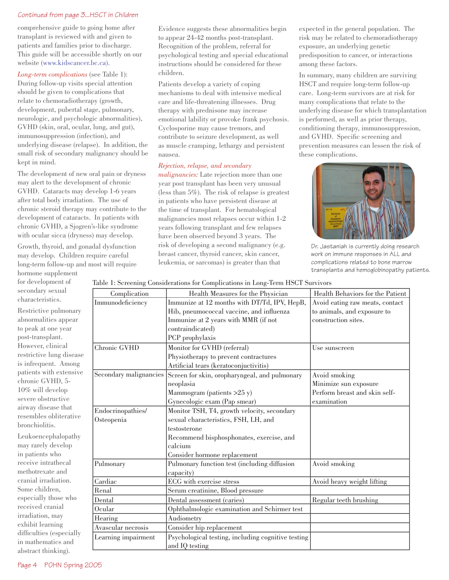#### *Continued from page 3...HSCT in Children*

comprehensive guide to going home after transplant is reviewed with and given to patients and families prior to discharge. This guide will be accessible shortly on our website (www.kidscancer.bc.ca).

*Long-term complications* (see Table 1): During follow-up visits special attention should be given to complications that relate to chemoradiotherapy (growth, development, pubertal stage, pulmonary, neurologic, and psychologic abnormalities), GVHD (skin, oral, ocular, lung, and gut), immunosuppression (infection), and underlying disease (relapse). In addition, the small risk of secondary malignancy should be kept in mind.

The development of new oral pain or dryness may alert to the development of chronic GVHD. Cataracts may develop 1-6 years after total body irradiation. The use of chronic steroid therapy may contribute to the development of cataracts. In patients with chronic GVHD, a Sjogren's-like syndrome with ocular sicca (dryness) may develop.

Growth, thyroid, and gonadal dysfunction may develop. Children require careful long-term follow-up and most will require

hormone supplement for development of secondary sexual characteristics.

Restrictive pulmonary abnormalities appear to peak at one year post-transplant. However, clinical restrictive lung disease is infrequent. Among patients with extensive chronic GVHD, 5- 10% will develop severe obstructive airway disease that resembles obliterative bronchiolitis.

Leukoencephalopathy may rarely develop in patients who receive intrathecal methotrexate and cranial irradiation. Some children, especially those who received cranial irradiation, may exhibit learning difficulties (especially in mathematics and abstract thinking).

Evidence suggests these abnormalities begin to appear 24-42 months post-transplant. Recognition of the problem, referral for psychological testing and special educational instructions should be considered for these children.

Patients develop a variety of coping mechanisms to deal with intensive medical care and life-threatening illnesses. Drug therapy with prednisone may increase emotional lability or provoke frank psychosis. Cyclosporine may cause tremors, and contribute to seizure development, as well as muscle cramping, lethargy and persistent nausea.

#### *Rejection, relapse, and secondary*

*malignancies:* Late rejection more than one year post transplant has been very unusual (less than 5%). The risk of relapse is greatest in patients who have persistent disease at the time of transplant. For hematological malignancies most relapses occur within 1-2 years following transplant and few relapses have been observed beyond 3 years. The risk of developing a second malignancy (e.g. breast cancer, thyroid cancer, skin cancer, leukemia, or sarcomas) is greater than that

expected in the general population. The risk may be related to chemoradiotherapy exposure, an underlying genetic predisposition to cancer, or interactions among these factors.

In summary, many children are surviving HSCT and require long-term follow-up care. Long-term survivors are at risk for many complications that relate to the underlying disease for which transplantation is performed, as well as prior therapy, conditioning therapy, immunosuppression, and GVHD. Specific screening and prevention measures can lessen the risk of these complications.



Dr. Jastaniah is currently doing research work on immune responses in ALL and complications related to bone marrow transplants and hemoglobinopathy patients.

#### Table 1: Screening Considerations for Complications in Long-Term HSCT Survivors

|                        | rabit 1. Streeming Considerations for Compileations in Long-Term HSGT Survivors |                                  |
|------------------------|---------------------------------------------------------------------------------|----------------------------------|
| Complication           | Health Measures for the Physician                                               | Health Behaviors for the Patient |
| Immunodeficiency       | Immunize at 12 months with DT/Td, IPV, HepB,                                    | Avoid eating raw meats, contact  |
|                        | Hib, pneumococcal vaccine, and influenza                                        | to animals, and exposure to      |
|                        | Immunize at 2 years with MMR (if not                                            | construction sites.              |
|                        | contraindicated)                                                                |                                  |
|                        | PCP prophylaxis                                                                 |                                  |
| Chronic GVHD           | Monitor for GVHD (referral)                                                     | Use sunscreen                    |
|                        | Physiotherapy to prevent contractures                                           |                                  |
|                        | Artificial tears (keratoconjuctivitis)                                          |                                  |
| Secondary malignancies | Screen for skin, oropharyngeal, and pulmonary                                   | Avoid smoking                    |
|                        | neoplasia                                                                       | Minimize sun exposure            |
|                        | Mammogram (patients >25 y)                                                      | Perform breast and skin self-    |
|                        | Gynecologic exam (Pap smear)                                                    | examination                      |
| Endocrinopathies/      | Monitor TSH, T4, growth velocity, secondary                                     |                                  |
| Osteopenia             | sexual characteristics, FSH, LH, and                                            |                                  |
|                        | testosterone                                                                    |                                  |
|                        | Recommend bisphosphonates, exercise, and                                        |                                  |
|                        | calcium                                                                         |                                  |
|                        | Consider hormone replacement                                                    |                                  |
| Pulmonary              | Pulmonary function test (including diffusion                                    | Avoid smoking                    |
|                        | capacity)                                                                       |                                  |
| Cardiac                | ECG with exercise stress                                                        | Avoid heavy weight lifting       |
| Renal                  | Serum creatinine, Blood pressure                                                |                                  |
| Dental                 | Dental assessment (caries)                                                      | Regular teeth brushing           |
| Ocular                 | Ophthalmologic examination and Schirmer test                                    |                                  |
| Hearing                | Audiometry                                                                      |                                  |
| Avascular necrosis     | Consider hip replacement                                                        |                                  |
| Learning impairment    | Psychological testing, including cognitive testing                              |                                  |
|                        | and IQ testing                                                                  |                                  |
|                        |                                                                                 |                                  |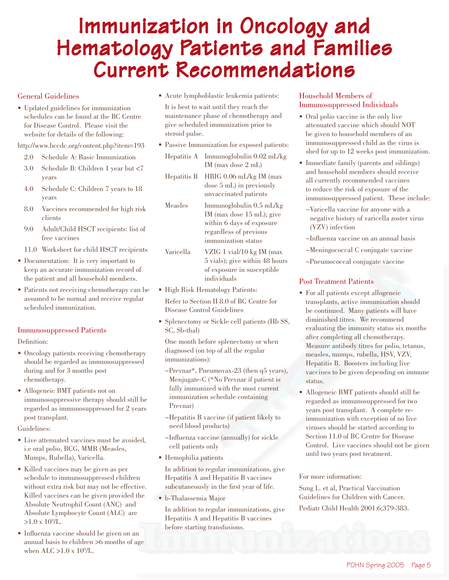# Immunization in Oncology and Hematology Patients and Families Current Recommendations

#### General Guidelines

• Updated guidelines for immunization schedules can be found at the BC Centre for Disease Control. Please visit the website for details of the following:

http://www.bccdc.org/content.php?item=193

- 2.0 Schedule A: Basic Immunization
- 3.0 Schedule B: Children 1 year but <7 years
- 4.0 Schedule C: Children 7 years to 18 years
- 8.0 Vaccines recommended for high risk clients
- 9.0 Adult/Child HSCT recipients: list of free vaccines
- 11.0 Worksheet for child HSCT recipients
- Documentation: It is very important to keep an accurate immunization record of the patient and all household members.
- Patients not receiving chemotherapy can be assumed to be normal and receive regular scheduled immunization.

#### Immunosuppressed Patients

Definition:

- Oncology patients receiving chemotherapy should be regarded as immunosuppressed during and for 3 months post chemotherapy.
- Allogeneic BMT patients not on immunosuppressive therapy should still be regarded as immunosuppressed for 2 years post transplant.

Guidelines:

- Live attenuated vaccines must be avoided, i.e oral polio, BCG, MMR (Measles, Mumps, Rubella), Varicella.
- Killed vaccines may be given as per schedule to immunosuppressed children without extra risk but may not be effective. Killed vaccines can be given provided the Absolute Neutrophil Count (ANC) and Absolute Lymphocyte Count (ALC) are  $>1.0 \times 10^9$ /L.
- Influenza vaccine should be given on an annual basis to children >6 months of age when ALC > 1.0 x 10<sup>9</sup>/L.

• Acute lymphoblastic leukemia patients:

 It is best to wait until they reach the maintenance phase of chemotherapy and give scheduled immunization prior to steroid pulse.

- Passive Immunization for exposed patients:
- Hepatitis A Immunoglobulin 0.02 mL/kg IM (max dose 2 mL)
- Hepatitis B HBIG 0.06 mL/kg IM (max dose 5 mL) in previously unvaccinated patients
- Measles Immunoglobulin 0.5 mL/kg IM (max dose 15 mL); give within 6 days of exposure regardless of previous immunization status
- Varicella VZIG 1 vial/10 kg IM (max 5 vials); give within 48 hours of exposure in susceptible individuals
- High Risk Hematology Patients: Refer to Section II 8.0 of BC Centre for Disease Control Guidelines
- Splenectomy or Sickle cell patients (Hb SS, SC, Sb-thal)

 One month before splenectomy or when diagnosed (on top of all the regular immunizations):

- ~Prevnar\*, Pneumovax-23 (then q5 years), Menjugate-C (\*No Prevnar if patient is fully immunized with the most current immunization schedule containing Prevnar)
- ~Hepatitis B vaccine (if patient likely to need blood products)
- ~Influenza vaccine (annually) for sickle cell patients only
- Hemophilia patients

 In addition to regular immunizations, give Hepatitis A and Hepatitis B vaccines subcutaneously in the first year of life.

• b-Thalassemia Major

 In addition to regular immunizations, give Hepatitis A and Hepatitis B vaccines before starting transfusions.

#### Household Members of Immunosuppressed Individuals

- Oral polio vaccine is the only live attenuated vaccine which should NOT be given to household members of an immunosuppressed child as the virus is shed for up to 12 weeks post immunization.
- Immediate family (parents and siblings) and household members should receive all currently recommended vaccines to reduce the risk of exposure of the immunosuppressed patient. These include:
	- ~Varicella vaccine for anyone with a negative history of varicella zoster virus (VZV) infection
	- ~Influenza vaccine on an annual basis
	- ~Meningococcal C conjugate vaccine
	- ~Pneumococcal conjugate vaccine

#### Post Treatment Patients

- For all patients except allogeneic transplants, active immunization should be continued. Many patients will have diminished titres. We recommend evaluating the immunity status six months after completing all chemotherapy. Measure antibody titres for polio, tetanus, measles, mumps, rubella, HSV, VZV, Hepatitis B. Boosters including live vaccines to be given depending on immune status.
- Allogeneic BMT patients should still be regarded as immunosuppressed for two years post transplant. A complete reimmunization with exception of no live viruses should be started according to Section 11.0 of BC Centre for Disease Control. Live vaccines should not be given until two years post treatment.

#### For more information:

Sung L. et al, Practical Vaccination Guidelines for Children with Cancer. Pediatr Child Health 2001:6;379-383.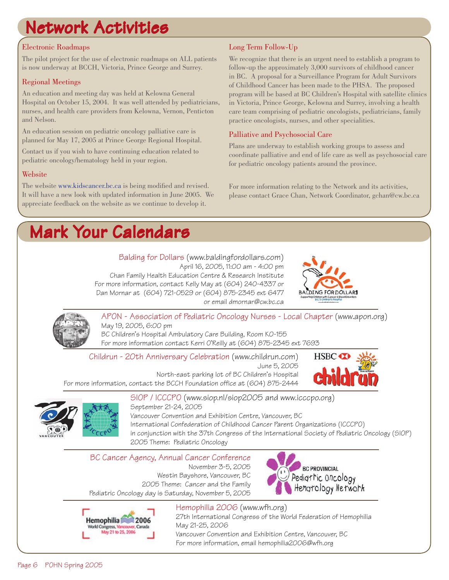# Network Activities

### Electronic Roadmaps

The pilot project for the use of electronic roadmaps on ALL patients is now underway at BCCH, Victoria, Prince George and Surrey.

### Regional Meetings

An education and meeting day was held at Kelowna General Hospital on October 15, 2004. It was well attended by pediatricians, nurses, and health care providers from Kelowna, Vernon, Penticton and Nelson.

An education session on pediatric oncology palliative care is planned for May 17, 2005 at Prince George Regional Hospital.

Contact us if you wish to have continuing education related to pediatric oncology/hematology held in your region.

### Website

The website www.kidscancer.bc.ca is being modified and revised. It will have a new look with updated information in June 2005. We appreciate feedback on the website as we continue to develop it.

### Long Term Follow-Up

We recognize that there is an urgent need to establish a program to follow-up the approximately 3,000 survivors of childhood cancer in BC. A proposal for a Surveillance Program for Adult Survivors of Childhood Cancer has been made to the PHSA. The proposed program will be based at BC Children's Hospital with satellite clinics in Victoria, Prince George, Kelowna and Surrey, involving a health care team comprising of pediatric oncologists, pediatricians, family practice oncologists, nurses, and other specialities.

### Palliative and Psychosocial Care

Plans are underway to establish working groups to assess and coordinate palliative and end of life care as well as psychosocial care for pediatric oncology patients around the province.

For more information relating to the Network and its activities, please contact Grace Chan, Network Coordinator, gchan@cw.bc.ca

## Mark Your Calendars

Balding for Dollars (www.baldingfordollars.com) April 16, 2005, 11:00 am - 4:00 pm Chan Family Health Education Centre & Research Institute For more information, contact Kelly May at (604) 240-4337 or Dan Mornar at (604) 721-0529 or (604) 875-2345 ext 6477 or email dmornar@cw.bc.ca





APON - Association of Pediatric Oncology Nurses - Local Chapter (www.apon.org) May 19, 2005, 6:00 pm BC Children's Hospital Ambulatory Care Building, Room K0-155 For more information contact Kerri O'Reilly at (604) 875-2345 ext 7693

Childrun - 20th Anniversary Celebration (www.childrun.com)

June 5, 2005 North-east parking lot of BC Children's Hospital For more information, contact the BCCH Foundation office at (604) 875-2444





SIOP / ICCCPO (www.siop.nl/siop2005 and www.icccpo.org) September 21-24, 2005 Vancouver Convention and Exhibition Centre, Vancouver, BC

International Confederation of Childhood Cancer Parent Organizations (ICCCPO) in conjunction with the 37th Congress of the International Society of Pediatric Oncology (SIOP) 2005 Theme: Pediatric Oncology

## BC Cancer Agency, Annual Cancer Conference

November 3-5, 2005 Westin Bayshore, Vancouver, BC 2005 Theme: Cancer and the Family Pediatric Oncology day is Saturday, November 5, 2005





Hemophilia 2006 (www.wfh.org)

27th International Congress of the World Federation of Hemophilia May 21-25, 2006 Vancouver Convention and Exhibition Centre, Vancouver, BC

For more information, email hemophilia2006@wfh.org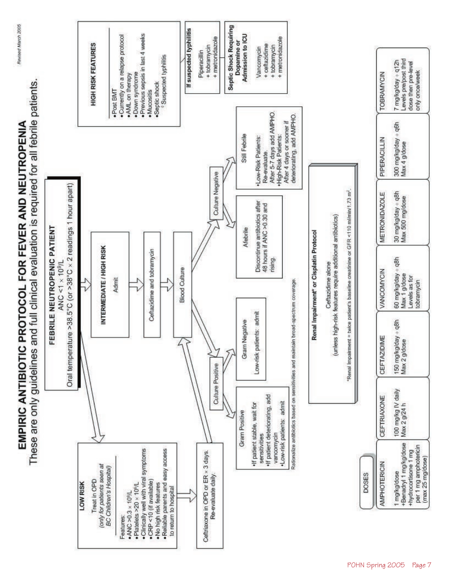